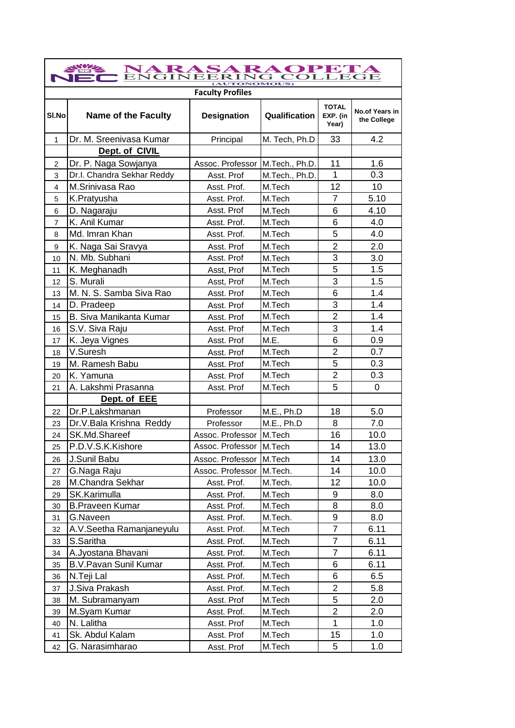| NARASARAOPETA<br>$\mathbf{ENGINE}$<br>r |                                |                                 |                |                                   |                               |
|-----------------------------------------|--------------------------------|---------------------------------|----------------|-----------------------------------|-------------------------------|
| (AUTONOMOUS)<br><b>Faculty Profiles</b> |                                |                                 |                |                                   |                               |
| SI.No                                   | <b>Name of the Faculty</b>     | <b>Designation</b>              | Qualification  | <b>TOTAL</b><br>EXP. (in<br>Year) | No.of Years in<br>the College |
| $\mathbf{1}$                            | Dr. M. Sreenivasa Kumar        | Principal                       | M. Tech, Ph.D  | 33                                | 4.2                           |
|                                         | Dept. of CIVIL                 |                                 |                |                                   |                               |
| $\overline{2}$                          | Dr. P. Naga Sowjanya           | Assoc. Professor M.Tech., Ph.D. |                | 11                                | 1.6                           |
| 3                                       | Dr.I. Chandra Sekhar Reddy     | Asst. Prof                      | M.Tech., Ph.D. | 1                                 | 0.3                           |
| $\overline{4}$                          | M.Srinivasa Rao                | Asst. Prof.                     | M.Tech         | 12                                | 10                            |
| 5                                       | K.Pratyusha                    | Asst. Prof.                     | M.Tech         | $\overline{7}$                    | 5.10                          |
| 6                                       | D. Nagaraju                    | Asst. Prof                      | M.Tech         | 6                                 | 4.10                          |
| $\overline{7}$                          | K. Anil Kumar                  | Asst. Prof.                     | M.Tech         | 6                                 | 4.0                           |
| 8                                       | Md. Imran Khan                 | Asst. Prof.                     | M.Tech         | 5                                 | 4.0                           |
| 9                                       | K. Naga Sai Sravya             | Asst. Prof                      | M.Tech         | $\overline{2}$                    | 2.0                           |
| 10                                      | N. Mb. Subhani                 | Asst. Prof                      | M.Tech         | 3                                 | 3.0                           |
| 11                                      | K. Meghanadh                   | Asst, Prof                      | M.Tech         | 5                                 | 1.5                           |
| 12                                      | S. Murali                      | Asst, Prof                      | M.Tech         | 3                                 | 1.5                           |
| 13                                      | M. N. S. Samba Siva Rao        | Asst. Prof                      | M.Tech         | 6                                 | 1.4                           |
| 14                                      | D. Pradeep                     | Asst. Prof                      | M.Tech         | 3                                 | 1.4                           |
| 15                                      | <b>B. Siva Manikanta Kumar</b> | Asst. Prof                      | M.Tech         | $\overline{2}$                    | 1.4                           |
| 16                                      | S.V. Siva Raju                 | Asst. Prof                      | M.Tech         | 3                                 | 1.4                           |
| 17                                      | K. Jeya Vignes                 | Asst. Prof                      | M.E.           | 6                                 | 0.9                           |
| 18                                      | V.Suresh                       | Asst. Prof                      | M.Tech         | 2                                 | 0.7                           |
| 19                                      | M. Ramesh Babu                 | Asst. Prof                      | M.Tech         | 5                                 | 0.3                           |
| 20                                      | K. Yamuna                      | Asst. Prof                      | M.Tech         | $\overline{2}$                    | 0.3                           |
| 21                                      | A. Lakshmi Prasanna            | Asst. Prof                      | M.Tech         | 5                                 | 0                             |
|                                         | Dept. of EEE                   |                                 |                |                                   |                               |
| 22                                      | Dr.P.Lakshmanan                | Professor                       | M.E., Ph.D     | 18                                | 5.0                           |
| 23                                      | Dr.V.Bala Krishna Reddy        | Professor                       | M.E., Ph.D     | 8                                 | 7.0                           |
| 24                                      | SK.Md.Shareef                  | Assoc. Professor                | M.Tech         | 16                                | 10.0                          |
| 25                                      | P.D.V.S.K.Kishore              | Assoc. Professor                | M.Tech         | 14                                | 13.0                          |
| 26                                      | J.Sunil Babu                   | Assoc. Professor   M.Tech       |                | 14                                | 13.0                          |
| 27                                      | G.Naga Raju                    | Assoc. Professor                | M.Tech.        | 14                                | 10.0                          |
| 28                                      | M.Chandra Sekhar               | Asst. Prof.                     | M.Tech.        | 12                                | 10.0                          |
| 29                                      | SK.Karimulla                   | Asst. Prof.                     | M.Tech         | 9                                 | 8.0                           |
| 30                                      | <b>B.Praveen Kumar</b>         | Asst. Prof.                     | M.Tech         | 8                                 | 8.0                           |
| 31                                      | G.Naveen                       | Asst. Prof.                     | M.Tech.        | 9                                 | 8.0                           |
| 32                                      | A.V.Seetha Ramanjaneyulu       | Asst. Prof.                     | M.Tech         | 7                                 | 6.11                          |
| 33                                      | S.Saritha                      | Asst. Prof.                     | M.Tech         | $\overline{7}$                    | 6.11                          |
| 34                                      | A.Jyostana Bhavani             | Asst. Prof.                     | M.Tech         | $\overline{7}$                    | 6.11                          |
| 35                                      | <b>B.V.Pavan Sunil Kumar</b>   | Asst. Prof.                     | M.Tech         | 6                                 | 6.11                          |
| 36                                      | N.Teji Lal                     | Asst. Prof.                     | M.Tech         | 6                                 | 6.5                           |
| 37                                      | J.Siva Prakash                 | Asst. Prof.                     | M.Tech         | $\overline{2}$                    | 5.8                           |
| 38                                      | M. Subramanyam                 | Asst. Prof                      | M.Tech         | 5                                 | 2.0                           |
| 39                                      | M.Syam Kumar                   | Asst. Prof.                     | M.Tech         | $\overline{c}$                    | 2.0                           |
| 40                                      | N. Lalitha                     | Asst. Prof                      | M.Tech         | 1                                 | 1.0                           |
| 41                                      | Sk. Abdul Kalam                | Asst. Prof                      | M.Tech         | 15                                | 1.0                           |
| 42                                      | G. Narasimharao                | Asst. Prof                      | M.Tech         | 5                                 | 1.0                           |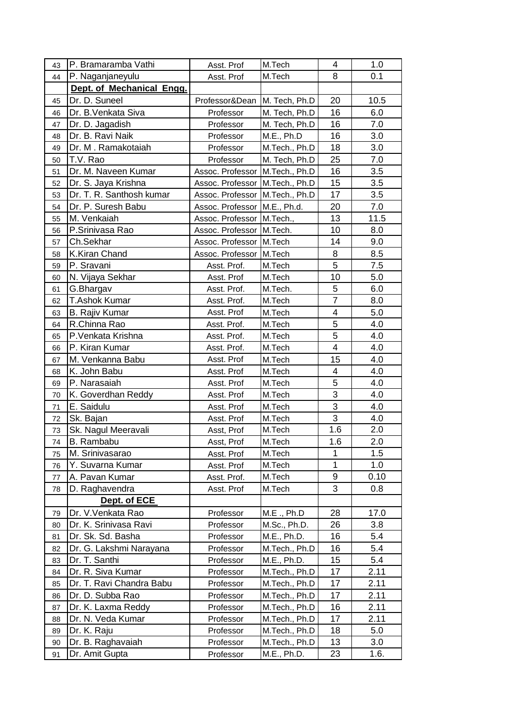| 43 | P. Bramaramba Vathi       | Asst. Prof                       | M.Tech        | 4              | 1.0  |
|----|---------------------------|----------------------------------|---------------|----------------|------|
| 44 | P. Naganjaneyulu          | Asst. Prof                       | M.Tech        | 8              | 0.1  |
|    | Dept. of Mechanical Engg. |                                  |               |                |      |
| 45 | Dr. D. Suneel             | Professor&Dean                   | M. Tech, Ph.D | 20             | 10.5 |
| 46 | Dr. B. Venkata Siva       | Professor                        | M. Tech, Ph.D | 16             | 6.0  |
| 47 | Dr. D. Jagadish           | Professor                        | M. Tech, Ph.D | 16             | 7.0  |
| 48 | Dr. B. Ravi Naik          | Professor                        | M.E., Ph.D    | 16             | 3.0  |
| 49 | Dr. M. Ramakotaiah        | Professor                        | M.Tech., Ph.D | 18             | 3.0  |
| 50 | T.V. Rao                  | Professor                        | M. Tech, Ph.D | 25             | 7.0  |
| 51 | Dr. M. Naveen Kumar       | Assoc. Professor   M.Tech., Ph.D |               | 16             | 3.5  |
| 52 | Dr. S. Jaya Krishna       | Assoc. Professor M.Tech., Ph.D   |               | 15             | 3.5  |
| 53 | Dr. T. R. Santhosh kumar  | Assoc. Professor   M.Tech., Ph.D |               | 17             | 3.5  |
| 54 | Dr. P. Suresh Babu        | Assoc. Professor   M.E., Ph.d.   |               | 20             | 7.0  |
| 55 | M. Venkaiah               | Assoc. Professor   M.Tech.,      |               | 13             | 11.5 |
| 56 | P.Srinivasa Rao           | Assoc. Professor M.Tech.         |               | 10             | 8.0  |
| 57 | Ch.Sekhar                 | Assoc. Professor M.Tech          |               | 14             | 9.0  |
| 58 | K.Kiran Chand             | Assoc. Professor M.Tech          |               | 8              | 8.5  |
| 59 | P. Sravani                | Asst. Prof.                      | M.Tech        | 5              | 7.5  |
| 60 | N. Vijaya Sekhar          | Asst. Prof                       | M.Tech        | 10             | 5.0  |
| 61 | G.Bhargav                 | Asst. Prof.                      | M.Tech.       | 5              | 6.0  |
| 62 | <b>T.Ashok Kumar</b>      | Asst. Prof.                      | M.Tech        | $\overline{7}$ | 8.0  |
| 63 | <b>B. Rajiv Kumar</b>     | Asst. Prof                       | M.Tech        | 4              | 5.0  |
| 64 | R.Chinna Rao              | Asst. Prof.                      | M.Tech        | 5              | 4.0  |
| 65 | P.Venkata Krishna         | Asst. Prof.                      | M.Tech        | 5              | 4.0  |
| 66 | P. Kiran Kumar            | Asst. Prof.                      | M.Tech        | 4              | 4.0  |
| 67 | M. Venkanna Babu          | Asst. Prof                       | M.Tech        | 15             | 4.0  |
| 68 | K. John Babu              | Asst. Prof                       | M.Tech        | 4              | 4.0  |
| 69 | P. Narasaiah              | Asst. Prof                       | M.Tech        | 5              | 4.0  |
| 70 | K. Goverdhan Reddy        | Asst. Prof                       | M.Tech        | 3              | 4.0  |
| 71 | E. Saidulu                | Asst. Prof                       | M.Tech        | 3              | 4.0  |
| 72 | Sk. Bajan                 | Asst. Prof                       | M.Tech        | 3              | 4.0  |
| 73 | Sk. Nagul Meeravali       | Asst, Prof                       | M.Tech        | 1.6            | 2.0  |
| 74 | B. Rambabu                | Asst, Prof                       | M.Tech        | 1.6            | 2.0  |
| 75 | M. Srinivasarao           | Asst. Prof                       | M.Tech        | 1              | 1.5  |
| 76 | Y. Suvarna Kumar          | Asst. Prof                       | M.Tech        | 1              | 1.0  |
| 77 | A. Pavan Kumar            | Asst. Prof.                      | M.Tech        | 9              | 0.10 |
| 78 | D. Raghavendra            | Asst. Prof                       | M.Tech        | 3              | 0.8  |
|    | Dept. of ECE              |                                  |               |                |      |
| 79 | Dr. V. Venkata Rao        | Professor                        | M.E., Ph.D    | 28             | 17.0 |
| 80 | Dr. K. Srinivasa Ravi     | Professor                        | M.Sc., Ph.D.  | 26             | 3.8  |
| 81 | Dr. Sk. Sd. Basha         | Professor                        | M.E., Ph.D.   | 16             | 5.4  |
| 82 | Dr. G. Lakshmi Narayana   | Professor                        | M.Tech., Ph.D | 16             | 5.4  |
| 83 | Dr. T. Santhi             | Professor                        | M.E., Ph.D.   | 15             | 5.4  |
| 84 | Dr. R. Siva Kumar         | Professor                        | M.Tech., Ph.D | 17             | 2.11 |
| 85 | Dr. T. Ravi Chandra Babu  | Professor                        | M.Tech., Ph.D | 17             | 2.11 |
| 86 | Dr. D. Subba Rao          | Professor                        | M.Tech., Ph.D | 17             | 2.11 |
| 87 | Dr. K. Laxma Reddy        | Professor                        | M.Tech., Ph.D | 16             | 2.11 |
| 88 | Dr. N. Veda Kumar         | Professor                        | M.Tech., Ph.D | 17             | 2.11 |
| 89 | Dr. K. Raju               | Professor                        | M.Tech., Ph.D | 18             | 5.0  |
| 90 | Dr. B. Raghavaiah         | Professor                        | M.Tech., Ph.D | 13             | 3.0  |
| 91 | Dr. Amit Gupta            | Professor                        | M.E., Ph.D.   | 23             | 1.6. |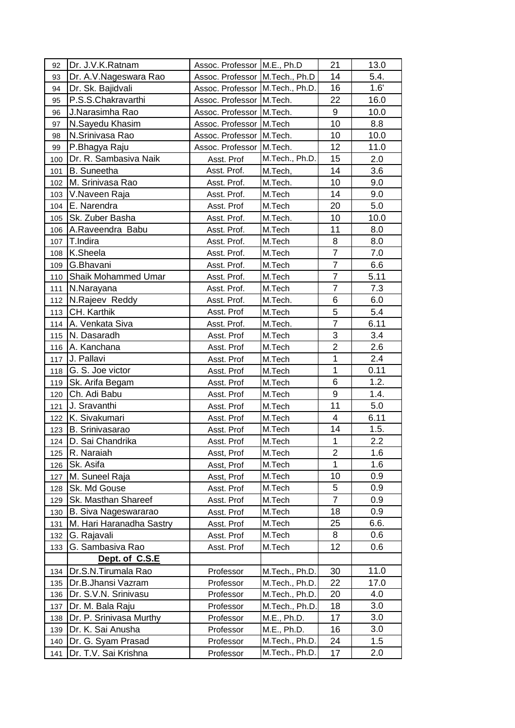| 92  | Dr. J.V.K.Ratnam            | Assoc. Professor M.E., Ph.D     |                | 21             | 13.0 |
|-----|-----------------------------|---------------------------------|----------------|----------------|------|
| 93  | Dr. A.V. Nageswara Rao      | Assoc. Professor M.Tech., Ph.D  |                | 14             | 5.4. |
| 94  | Dr. Sk. Bajidvali           | Assoc. Professor M.Tech., Ph.D. |                | 16             | 1.6' |
| 95  | P.S.S.Chakravarthi          | Assoc. Professor M.Tech.        |                | 22             | 16.0 |
| 96  | J.Narasimha Rao             | Assoc. Professor M.Tech.        |                | 9              | 10.0 |
| 97  | N.Sayedu Khasim             | Assoc. Professor M.Tech         |                | 10             | 8.8  |
| 98  | N.Srinivasa Rao             | Assoc. Professor M.Tech.        |                | 10             | 10.0 |
| 99  | P.Bhagya Raju               | Assoc. Professor M.Tech.        |                | 12             | 11.0 |
| 100 | Dr. R. Sambasiva Naik       | Asst. Prof                      | M.Tech., Ph.D. | 15             | 2.0  |
| 101 | <b>B.</b> Suneetha          | Asst. Prof.                     | M.Tech,        | 14             | 3.6  |
| 102 | M. Srinivasa Rao            | Asst. Prof.                     | M.Tech.        | 10             | 9.0  |
| 103 | V. Naveen Raja              | Asst. Prof.                     | M.Tech         | 14             | 9.0  |
| 104 | E. Narendra                 | Asst. Prof                      | M.Tech         | 20             | 5.0  |
| 105 | Sk. Zuber Basha             | Asst. Prof.                     | M.Tech.        | 10             | 10.0 |
| 106 | A.Raveendra Babu            | Asst. Prof.                     | M.Tech         | 11             | 8.0  |
| 107 | T.Indira                    | Asst. Prof.                     | M.Tech         | 8              | 8.0  |
| 108 | K.Sheela                    | Asst. Prof.                     | M.Tech         | $\overline{7}$ | 7.0  |
| 109 | G.Bhavani                   | Asst. Prof.                     | M.Tech         | $\overline{7}$ | 6.6  |
| 110 | Shaik Mohammed Umar         | Asst. Prof.                     | M.Tech         | $\overline{7}$ | 5.11 |
| 111 | N.Narayana                  | Asst. Prof.                     | M.Tech         | $\overline{7}$ | 7.3  |
| 112 | N.Rajeev Reddy              | Asst. Prof.                     | M.Tech.        | 6              | 6.0  |
| 113 | CH. Karthik                 | Asst. Prof                      | M.Tech         | 5              | 5.4  |
| 114 | A. Venkata Siva             | Asst. Prof.                     | M.Tech.        | $\overline{7}$ | 6.11 |
| 115 | N. Dasaradh                 | Asst. Prof                      | M.Tech         | 3              | 3.4  |
| 116 | A. Kanchana                 | Asst. Prof                      | M.Tech         | $\overline{2}$ | 2.6  |
| 117 | J. Pallavi                  | Asst. Prof                      | M.Tech         | $\mathbf{1}$   | 2.4  |
| 118 | G. S. Joe victor            | Asst. Prof                      | M.Tech         | $\mathbf{1}$   | 0.11 |
| 119 | Sk. Arifa Begam             | Asst. Prof                      | M.Tech         | 6              | 1.2. |
| 120 | Ch. Adi Babu                | Asst. Prof                      | M.Tech         | 9              | 1.4. |
| 121 | J. Sravanthi                | Asst. Prof                      | M.Tech         | 11             | 5.0  |
| 122 | K. Sivakumari               | Asst. Prof                      | M.Tech         | 4              | 6.11 |
| 123 | B. Srinivasarao             | Asst. Prof                      | M.Tech         | 14             | 1.5. |
| 124 | D. Sai Chandrika            | Asst. Prof                      | M.Tech         | $\mathbf 1$    | 2.2  |
| 125 | R. Naraiah                  | Asst, Prof                      | M.Tech         | 2              | 1.6  |
| 126 | Sk. Asifa                   | Asst, Prof                      | M.Tech         | 1              | 1.6  |
| 127 | M. Suneel Raja              | Asst, Prof                      | M.Tech         | 10             | 0.9  |
| 128 | Sk. Md Gouse                | Asst. Prof                      | M.Tech         | 5              | 0.9  |
| 129 | Sk. Masthan Shareef         | Asst. Prof                      | M.Tech         | $\overline{7}$ | 0.9  |
| 130 | <b>B. Siva Nageswararao</b> | Asst. Prof                      | M.Tech         | 18             | 0.9  |
| 131 | M. Hari Haranadha Sastry    | Asst. Prof                      | M.Tech         | 25             | 6.6. |
| 132 | G. Rajavali                 | Asst. Prof                      | M.Tech         | 8              | 0.6  |
| 133 | G. Sambasiva Rao            | Asst. Prof                      | M.Tech         | 12             | 0.6  |
|     | Dept. of C.S.E              |                                 |                |                |      |
| 134 | Dr.S.N.Tirumala Rao         | Professor                       | M.Tech., Ph.D. | 30             | 11.0 |
| 135 | Dr.B.Jhansi Vazram          | Professor                       | M.Tech., Ph.D. | 22             | 17.0 |
| 136 | Dr. S.V.N. Srinivasu        | Professor                       | M.Tech., Ph.D. | 20             | 4.0  |
| 137 | Dr. M. Bala Raju            | Professor                       | M.Tech., Ph.D. | 18             | 3.0  |
| 138 | Dr. P. Srinivasa Murthy     | Professor                       | M.E., Ph.D.    | 17             | 3.0  |
| 139 | Dr. K. Sai Anusha           | Professor                       | M.E., Ph.D.    | 16             | 3.0  |
| 140 | Dr. G. Syam Prasad          | Professor                       | M.Tech., Ph.D. | 24             | 1.5  |
| 141 | Dr. T.V. Sai Krishna        | Professor                       | M.Tech., Ph.D. | 17             | 2.0  |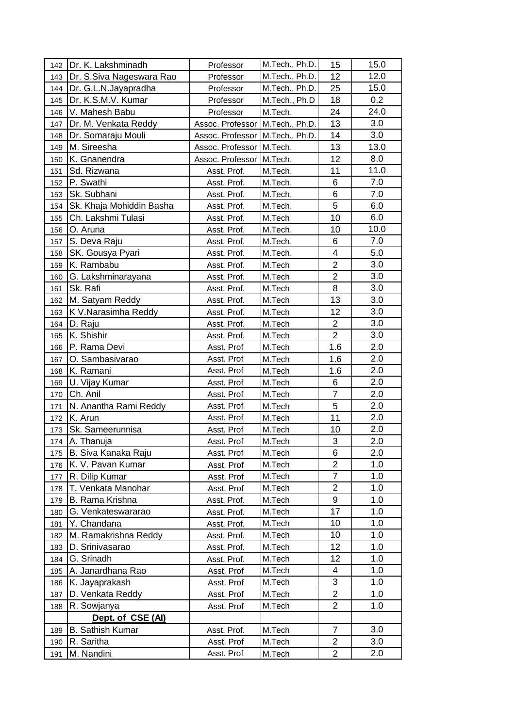| 142 | Dr. K. Lakshminadh       | Professor                       | M.Tech., Ph.D. | 15                      | 15.0 |
|-----|--------------------------|---------------------------------|----------------|-------------------------|------|
| 143 | Dr. S.Siva Nageswara Rao | Professor                       | M.Tech., Ph.D. | 12                      | 12.0 |
| 144 | Dr. G.L.N.Jayapradha     | Professor                       | M.Tech., Ph.D. | 25                      | 15.0 |
| 145 | Dr. K.S.M.V. Kumar       | Professor                       | M.Tech., Ph.D  | 18                      | 0.2  |
| 146 | V. Mahesh Babu           | Professor                       | M.Tech.        | 24                      | 24.0 |
| 147 | Dr. M. Venkata Reddy     | Assoc. Professor M.Tech., Ph.D. |                | 13                      | 3.0  |
| 148 | Dr. Somaraju Mouli       | Assoc. Professor                | M.Tech., Ph.D. | 14                      | 3.0  |
| 149 | M. Sireesha              | Assoc. Professor                | M.Tech.        | 13                      | 13.0 |
| 150 | K. Gnanendra             | Assoc. Professor M.Tech.        |                | 12                      | 8.0  |
| 151 | Sd. Rizwana              | Asst. Prof.                     | M.Tech.        | 11                      | 11.0 |
| 152 | P. Swathi                | Asst. Prof.                     | M.Tech.        | 6                       | 7.0  |
| 153 | Sk. Subhani              | Asst. Prof.                     | M.Tech.        | 6                       | 7.0  |
| 154 | Sk. Khaja Mohiddin Basha | Asst. Prof.                     | M.Tech.        | 5                       | 6.0  |
| 155 | Ch. Lakshmi Tulasi       | Asst. Prof.                     | M.Tech         | 10                      | 6.0  |
| 156 | O. Aruna                 | Asst. Prof.                     | M.Tech.        | 10                      | 10.0 |
| 157 | S. Deva Raju             | Asst. Prof.                     | M.Tech.        | 6                       | 7.0  |
| 158 | SK. Gousya Pyari         | Asst. Prof.                     | M.Tech.        | $\overline{\mathbf{4}}$ | 5.0  |
| 159 | K. Rambabu               | Asst. Prof.                     | M.Tech         | $\overline{2}$          | 3.0  |
| 160 | G. Lakshminarayana       | Asst. Prof.                     | M.Tech         | $\overline{2}$          | 3.0  |
| 161 | Sk. Rafi                 | Asst. Prof.                     | M.Tech         | 8                       | 3.0  |
| 162 | M. Satyam Reddy          | Asst. Prof.                     | M.Tech         | 13                      | 3.0  |
| 163 | K V.Narasimha Reddy      | Asst. Prof.                     | M.Tech         | 12                      | 3.0  |
| 164 | D. Raju                  | Asst. Prof.                     | M.Tech         | $\overline{c}$          | 3.0  |
| 165 | K. Shishir               | Asst. Prof.                     | M.Tech         | $\overline{2}$          | 3.0  |
| 166 | P. Rama Devi             | Asst. Prof                      | M.Tech         | 1.6                     | 2.0  |
| 167 | O. Sambasivarao          | Asst. Prof                      | M.Tech         | 1.6                     | 2.0  |
| 168 | K. Ramani                | Asst. Prof                      | M.Tech         | 1.6                     | 2.0  |
| 169 | U. Vijay Kumar           | Asst. Prof                      | M.Tech         | 6                       | 2.0  |
| 170 | Ch. Anil                 | Asst. Prof                      | M.Tech         | $\overline{7}$          | 2.0  |
| 171 | N. Anantha Rami Reddy    | Asst. Prof                      | M.Tech         | 5                       | 2.0  |
| 172 | K. Arun                  | Asst. Prof                      | M.Tech         | 11                      | 2.0  |
| 173 | Sk. Sameerunnisa         | Asst. Prof                      | M.Tech         | 10                      | 2.0  |
| 174 | A. Thanuja               | Asst. Prof                      | M.Tech         | 3                       | 2.0  |
| 175 | B. Siva Kanaka Raju      | Asst. Prof                      | M.Tech         | 6                       | 2.0  |
| 176 | K. V. Pavan Kumar        | Asst. Prof                      | M.Tech         | 2                       | 1.0  |
| 177 | R. Dilip Kumar           | Asst. Prof                      | M.Tech         | $\overline{7}$          | 1.0  |
| 178 | T. Venkata Manohar       | Asst. Prof                      | M.Tech         | $\overline{2}$          | 1.0  |
| 179 | <b>B. Rama Krishna</b>   | Asst. Prof.                     | M.Tech         | 9                       | 1.0  |
| 180 | G. Venkateswararao       | Asst. Prof.                     | M.Tech         | 17                      | 1.0  |
| 181 | Y. Chandana              | Asst. Prof.                     | M.Tech         | 10                      | 1.0  |
| 182 | M. Ramakrishna Reddy     | Asst. Prof.                     | M.Tech         | 10                      | 1.0  |
| 183 | D. Srinivasarao          | Asst. Prof.                     | M.Tech         | 12                      | 1.0  |
| 184 | G. Srinadh               | Asst. Prof.                     | M.Tech         | 12                      | 1.0  |
| 185 | A. Janardhana Rao        | Asst. Prof                      | M.Tech         | 4                       | 1.0  |
| 186 | K. Jayaprakash           | Asst. Prof                      | M.Tech         | 3                       | 1.0  |
| 187 | D. Venkata Reddy         | Asst. Prof                      | M.Tech         | $\overline{2}$          | 1.0  |
| 188 | R. Sowjanya              | Asst. Prof                      | M.Tech         | $\overline{2}$          | 1.0  |
|     | Dept. of CSE (Al)        |                                 |                |                         |      |
| 189 | <b>B.</b> Sathish Kumar  | Asst. Prof.                     | M.Tech         | $\overline{7}$          | 3.0  |
| 190 | R. Saritha               | Asst. Prof                      | M.Tech         | 2                       | 3.0  |
| 191 | M. Nandini               | Asst. Prof                      | M.Tech         | $\overline{2}$          | 2.0  |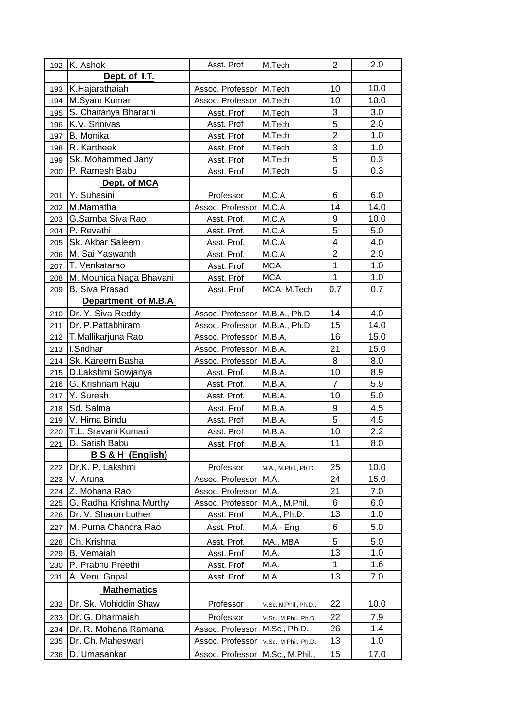| 192 | K. Ashok                  | Asst. Prof                      | M.Tech                 | $\overline{2}$ | 2.0  |
|-----|---------------------------|---------------------------------|------------------------|----------------|------|
|     | Dept. of I.T.             |                                 |                        |                |      |
| 193 | K.Hajarathaiah            | Assoc. Professor M.Tech         |                        | 10             | 10.0 |
| 194 | M.Syam Kumar              | Assoc. Professor                | M.Tech                 | 10             | 10.0 |
| 195 | S. Chaitanya Bharathi     | Asst. Prof                      | M.Tech                 | 3              | 3.0  |
| 196 | K.V. Srinivas             | Asst. Prof                      | M.Tech                 | 5              | 2.0  |
| 197 | <b>B.</b> Monika          | Asst. Prof                      | M.Tech                 | $\overline{2}$ | 1.0  |
| 198 | R. Kartheek               | Asst. Prof                      | M.Tech                 | 3              | 1.0  |
| 199 | Sk. Mohammed Jany         | Asst. Prof                      | M.Tech                 | 5              | 0.3  |
| 200 | P. Ramesh Babu            | Asst. Prof                      | M.Tech                 | 5              | 0.3  |
|     | Dept. of MCA              |                                 |                        |                |      |
| 201 | Y. Suhasini               | Professor                       | M.C.A                  | 6              | 6.0  |
| 202 | M.Mamatha                 | Assoc. Professor                | M.C.A                  | 14             | 14.0 |
| 203 | G.Samba Siva Rao          | Asst. Prof.                     | M.C.A                  | 9              | 10.0 |
| 204 | P. Revathi                | Asst. Prof.                     | M.C.A                  | 5              | 5.0  |
| 205 | Sk. Akbar Saleem          | Asst. Prof.                     | M.C.A                  | 4              | 4.0  |
| 206 | M. Sai Yaswanth           | Asst. Prof.                     | M.C.A                  | $\overline{2}$ | 2.0  |
| 207 | T. Venkatarao             | Asst. Prof                      | <b>MCA</b>             | 1              | 1.0  |
| 208 | M. Mounica Naga Bhavani   | Asst. Prof                      | <b>MCA</b>             | 1              | 1.0  |
| 209 | <b>B. Siva Prasad</b>     | Asst. Prof                      | MCA, M.Tech            | 0.7            | 0.7  |
|     | Department of M.B.A       |                                 |                        |                |      |
| 210 | Dr. Y. Siva Reddy         | Assoc. Professor   M.B.A., Ph.D |                        | 14             | 4.0  |
| 211 | Dr. P. Pattabhiram        | Assoc. Professor   M.B.A., Ph.D |                        | 15             | 14.0 |
| 212 | T.Mallikarjuna Rao        | Assoc. Professor M.B.A,         |                        | 16             | 15.0 |
| 213 | I.Sridhar                 | Assoc. Professor M.B.A.         |                        | 21             | 15.0 |
| 214 | Sk. Kareem Basha          | Assoc. Professor                | M.B.A.                 | 8              | 8.0  |
| 215 | D.Lakshmi Sowjanya        | Asst. Prof.                     | M.B.A.                 | 10             | 8.9  |
| 216 | G. Krishnam Raju          | Asst. Prof.                     | M.B.A.                 | $\overline{7}$ | 5.9  |
| 217 | Y. Suresh                 | Asst. Prof.                     | M.B.A.                 | 10             | 5.0  |
| 218 | Sd. Salma                 | Asst. Prof                      | M.B.A.                 | 9              | 4.5  |
| 219 | V. Hima Bindu             | Asst. Prof                      | M.B.A.                 | 5              | 4.5  |
| 220 | T.L. Sravani Kumari       | Asst. Prof                      | M.B.A.                 | 10             | 2.2  |
| 221 | D. Satish Babu            | Asst. Prof                      | M.B.A.                 | 11             | 8.0  |
|     | <b>BS&amp;H (English)</b> |                                 |                        |                |      |
| 222 | Dr.K. P. Lakshmi          | Professor                       | M.A., M.Phil., Ph.D.   | 25             | 10.0 |
| 223 | V. Aruna                  | Assoc. Professor                | M.A.                   | 24             | 15.0 |
| 224 | Z. Mohana Rao             | Assoc. Professor                | M.A.                   | 21             | 7.0  |
| 225 | G. Radha Krishna Murthy   | Assoc. Professor                | M.A., M.Phil.          | 6              | 6.0  |
| 226 | Dr. V. Sharon Luther      | Asst. Prof                      | M.A., Ph.D.            | 13             | 1.0  |
| 227 | M. Purna Chandra Rao      | Asst. Prof.                     | $MA - Eng$             | 6              | 5.0  |
| 228 | Ch. Krishna               | Asst. Prof.                     | MA., MBA               | 5              | 5.0  |
| 229 | <b>B.</b> Vemaiah         | Asst. Prof                      | M.A.                   | 13             | 1.0  |
| 230 | P. Prabhu Preethi         | Asst. Prof                      | M.A.                   | 1              | 1.6  |
| 231 | A. Venu Gopal             | Asst. Prof                      | M.A.                   | 13             | 7.0  |
|     | <b>Mathematics</b>        |                                 |                        |                |      |
| 232 | Dr. Sk. Mohiddin Shaw     | Professor                       | M.Sc., M.Phil., Ph.D., | 22             | 10.0 |
| 233 | Dr. G. Dharmaiah          | Professor                       | M.Sc., M.Phil., Ph.D.  | 22             | 7.9  |
| 234 | Dr. R. Mohana Ramana      | Assoc. Professor                | M.Sc., Ph.D.           | 26             | 1.4  |
| 235 | Dr. Ch. Maheswari         | Assoc. Professor                | M.Sc., M.Phil., Ph.D.  | 13             | 1.0  |
| 236 | D. Umasankar              | Assoc. Professor                | M.Sc., M.Phil.,        | 15             | 17.0 |
|     |                           |                                 |                        |                |      |